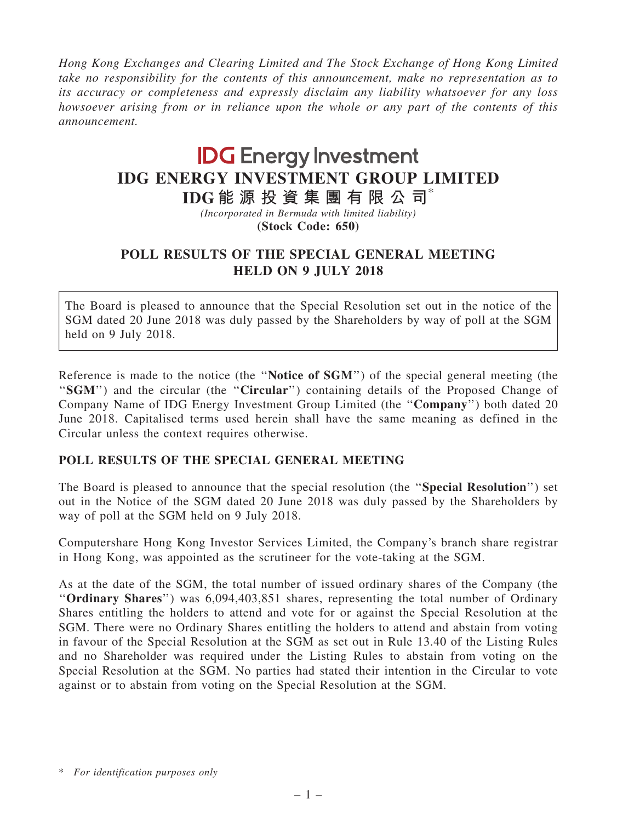Hong Kong Exchanges and Clearing Limited and The Stock Exchange of Hong Kong Limited take no responsibility for the contents of this announcement, make no representation as to its accuracy or completeness and expressly disclaim any liability whatsoever for any loss howsoever arising from or in reliance upon the whole or any part of the contents of this announcement.

## **IDG** Energy Investment IDG ENERGY INVESTMENT GROUP LIMITED

IDG 能 源 投 資 集 團 有 限 公 司\*

(Incorporated in Bermuda with limited liability) (Stock Code: 650)

## POLL RESULTS OF THE SPECIAL GENERAL MEETING HELD ON 9 JULY 2018

The Board is pleased to announce that the Special Resolution set out in the notice of the SGM dated 20 June 2018 was duly passed by the Shareholders by way of poll at the SGM held on 9 July 2018.

Reference is made to the notice (the "Notice of SGM") of the special general meeting (the "SGM") and the circular (the "Circular") containing details of the Proposed Change of Company Name of IDG Energy Investment Group Limited (the ''Company'') both dated 20 June 2018. Capitalised terms used herein shall have the same meaning as defined in the Circular unless the context requires otherwise.

## POLL RESULTS OF THE SPECIAL GENERAL MEETING

The Board is pleased to announce that the special resolution (the ''Special Resolution'') set out in the Notice of the SGM dated 20 June 2018 was duly passed by the Shareholders by way of poll at the SGM held on 9 July 2018.

Computershare Hong Kong Investor Services Limited, the Company's branch share registrar in Hong Kong, was appointed as the scrutineer for the vote-taking at the SGM.

As at the date of the SGM, the total number of issued ordinary shares of the Company (the ''Ordinary Shares'') was 6,094,403,851 shares, representing the total number of Ordinary Shares entitling the holders to attend and vote for or against the Special Resolution at the SGM. There were no Ordinary Shares entitling the holders to attend and abstain from voting in favour of the Special Resolution at the SGM as set out in Rule 13.40 of the Listing Rules and no Shareholder was required under the Listing Rules to abstain from voting on the Special Resolution at the SGM. No parties had stated their intention in the Circular to vote against or to abstain from voting on the Special Resolution at the SGM.

<sup>\*</sup> For identification purposes only